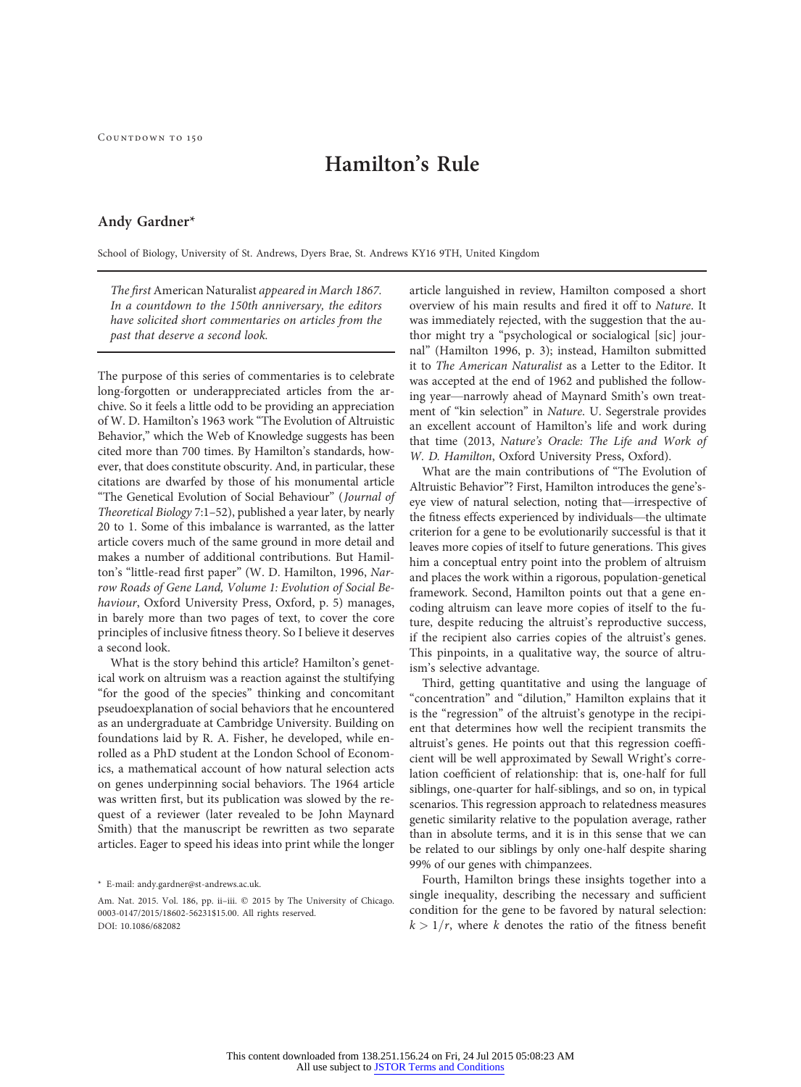## Hamilton's Rule

## Andy Gardner\*

School of Biology, University of St. Andrews, Dyers Brae, St. Andrews KY16 9TH, United Kingdom

The first American Naturalist appeared in March 1867. In a countdown to the 150th anniversary, the editors have solicited short commentaries on articles from the past that deserve a second look.

The purpose of this series of commentaries is to celebrate long-forgotten or underappreciated articles from the archive. So it feels a little odd to be providing an appreciation of W. D. Hamilton's 1963 work "The Evolution of Altruistic Behavior," which the Web of Knowledge suggests has been cited more than 700 times. By Hamilton's standards, however, that does constitute obscurity. And, in particular, these citations are dwarfed by those of his monumental article "The Genetical Evolution of Social Behaviour" (Journal of Theoretical Biology 7:1–52), published a year later, by nearly 20 to 1. Some of this imbalance is warranted, as the latter article covers much of the same ground in more detail and makes a number of additional contributions. But Hamilton's "little-read first paper" (W. D. Hamilton, 1996, Narrow Roads of Gene Land, Volume 1: Evolution of Social Behaviour, Oxford University Press, Oxford, p. 5) manages, in barely more than two pages of text, to cover the core principles of inclusive fitness theory. So I believe it deserves a second look.

What is the story behind this article? Hamilton's genetical work on altruism was a reaction against the stultifying "for the good of the species" thinking and concomitant pseudoexplanation of social behaviors that he encountered as an undergraduate at Cambridge University. Building on foundations laid by R. A. Fisher, he developed, while enrolled as a PhD student at the London School of Economics, a mathematical account of how natural selection acts on genes underpinning social behaviors. The 1964 article was written first, but its publication was slowed by the request of a reviewer (later revealed to be John Maynard Smith) that the manuscript be rewritten as two separate articles. Eager to speed his ideas into print while the longer article languished in review, Hamilton composed a short overview of his main results and fired it off to Nature. It was immediately rejected, with the suggestion that the author might try a "psychological or socialogical [sic] journal" (Hamilton 1996, p. 3); instead, Hamilton submitted it to The American Naturalist as a Letter to the Editor. It was accepted at the end of 1962 and published the following year—narrowly ahead of Maynard Smith's own treatment of "kin selection" in Nature. U. Segerstrale provides an excellent account of Hamilton's life and work during that time (2013, Nature's Oracle: The Life and Work of W. D. Hamilton, Oxford University Press, Oxford).

What are the main contributions of "The Evolution of Altruistic Behavior"? First, Hamilton introduces the gene'seye view of natural selection, noting that—irrespective of the fitness effects experienced by individuals—the ultimate criterion for a gene to be evolutionarily successful is that it leaves more copies of itself to future generations. This gives him a conceptual entry point into the problem of altruism and places the work within a rigorous, population-genetical framework. Second, Hamilton points out that a gene encoding altruism can leave more copies of itself to the future, despite reducing the altruist's reproductive success, if the recipient also carries copies of the altruist's genes. This pinpoints, in a qualitative way, the source of altruism's selective advantage.

Third, getting quantitative and using the language of "concentration" and "dilution," Hamilton explains that it is the "regression" of the altruist's genotype in the recipient that determines how well the recipient transmits the altruist's genes. He points out that this regression coefficient will be well approximated by Sewall Wright's correlation coefficient of relationship: that is, one-half for full siblings, one-quarter for half-siblings, and so on, in typical scenarios. This regression approach to relatedness measures genetic similarity relative to the population average, rather than in absolute terms, and it is in this sense that we can be related to our siblings by only one-half despite sharing 99% of our genes with chimpanzees.

Fourth, Hamilton brings these insights together into a single inequality, describing the necessary and sufficient condition for the gene to be favored by natural selection:  $k > 1/r$ , where k denotes the ratio of the fitness benefit

<sup>\*</sup> E-mail: andy.gardner@st-andrews.ac.uk.

Am. Nat. 2015. Vol. 186, pp. ii-iii.  $©$  2015 by The University of Chicago. 0003-0147/2015/18602-56231\$15.00. All rights reserved. DOI: 10.1086/682082